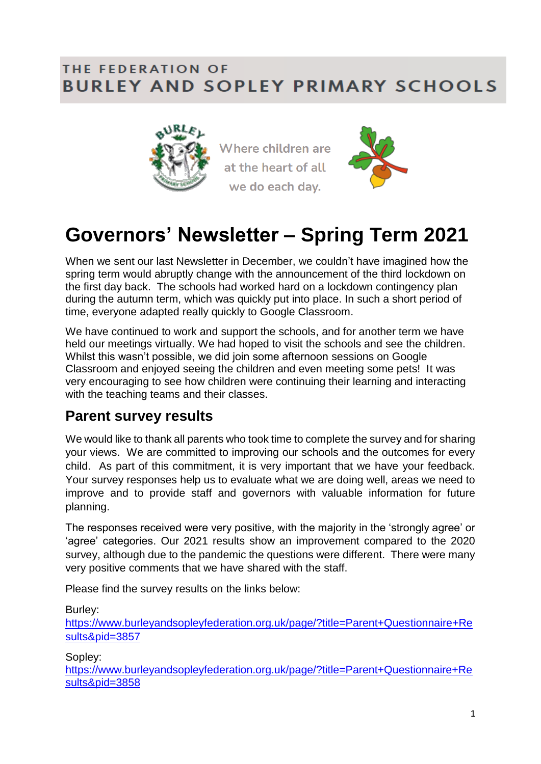#### THE FEDERATION OF **BURLEY AND SOPLEY PRIMARY SCHOOLS**



Where children are at the heart of all we do each day.



# **Governors' Newsletter – Spring Term 2021**

When we sent our last Newsletter in December, we couldn't have imagined how the spring term would abruptly change with the announcement of the third lockdown on the first day back. The schools had worked hard on a lockdown contingency plan during the autumn term, which was quickly put into place. In such a short period of time, everyone adapted really quickly to Google Classroom.

We have continued to work and support the schools, and for another term we have held our meetings virtually. We had hoped to visit the schools and see the children. Whilst this wasn't possible, we did join some afternoon sessions on Google Classroom and enjoyed seeing the children and even meeting some pets! It was very encouraging to see how children were continuing their learning and interacting with the teaching teams and their classes.

#### **Parent survey results**

We would like to thank all parents who took time to complete the survey and for sharing your views. We are committed to improving our schools and the outcomes for every child. As part of this commitment, it is very important that we have your feedback. Your survey responses help us to evaluate what we are doing well, areas we need to improve and to provide staff and governors with valuable information for future planning.

The responses received were very positive, with the majority in the 'strongly agree' or 'agree' categories. Our 2021 results show an improvement compared to the 2020 survey, although due to the pandemic the questions were different. There were many very positive comments that we have shared with the staff.

Please find the survey results on the links below:

Burley:

[https://www.burleyandsopleyfederation.org.uk/page/?title=Parent+Questionnaire+Re](https://www.burleyandsopleyfederation.org.uk/page/?title=Parent+Questionnaire+Results&pid=3857) [sults&pid=3857](https://www.burleyandsopleyfederation.org.uk/page/?title=Parent+Questionnaire+Results&pid=3857)

Sopley:

[https://www.burleyandsopleyfederation.org.uk/page/?title=Parent+Questionnaire+Re](https://www.burleyandsopleyfederation.org.uk/page/?title=Parent+Questionnaire+Results&pid=3858) [sults&pid=3858](https://www.burleyandsopleyfederation.org.uk/page/?title=Parent+Questionnaire+Results&pid=3858)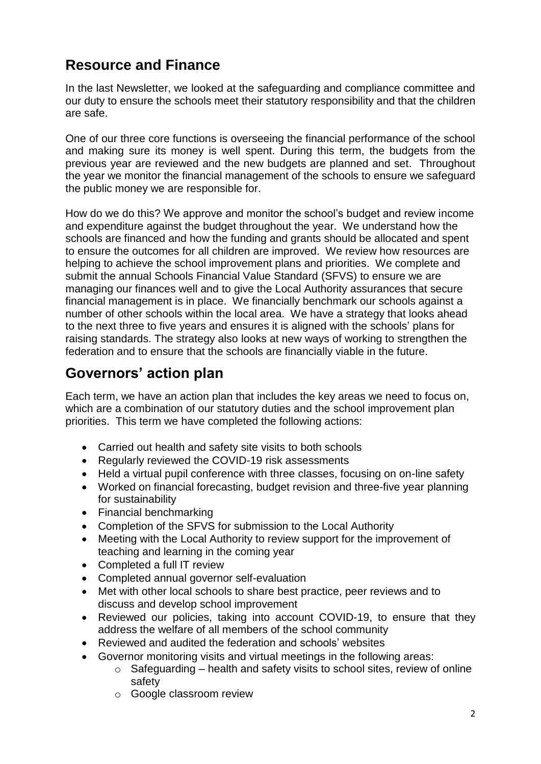## **Resource and Finance**

In the last Newsletter, we looked at the safeguarding and compliance committee and our duty to ensure the schools meet their statutory responsibility and that the children are safe.

One of our three core functions is overseeing the financial performance of the school and making sure its money is well spent. During this term, the budgets from the previous year are reviewed and the new budgets are planned and set. Throughout the year we monitor the financial management of the schools to ensure we safeguard the public money we are responsible for.

How do we do this? We approve and monitor the school's budget and review income and expenditure against the budget throughout the year. We understand how the schools are financed and how the funding and grants should be allocated and spent to ensure the outcomes for all children are improved. We review how resources are helping to achieve the school improvement plans and priorities. We complete and submit the annual Schools Financial Value Standard (SFVS) to ensure we are managing our finances well and to give the Local Authority assurances that secure financial management is in place. We financially benchmark our schools against a number of other schools within the local area. We have a strategy that looks ahead to the next three to five years and ensures it is aligned with the schools' plans for raising standards. The strategy also looks at new ways of working to strengthen the federation and to ensure that the schools are financially viable in the future.

### **Governors' action plan**

Each term, we have an action plan that includes the key areas we need to focus on, which are a combination of our statutory duties and the school improvement plan priorities. This term we have completed the following actions:

- Carried out health and safety site visits to both schools
- Regularly reviewed the COVID-19 risk assessments
- Held a virtual pupil conference with three classes, focusing on on-line safety
- Worked on financial forecasting, budget revision and three-five year planning for sustainability
- Financial benchmarking
- Completion of the SFVS for submission to the Local Authority
- Meeting with the Local Authority to review support for the improvement of teaching and learning in the coming year
- Completed a full IT review
- Completed annual governor self-evaluation
- Met with other local schools to share best practice, peer reviews and to discuss and develop school improvement
- Reviewed our policies, taking into account COVID-19, to ensure that they address the welfare of all members of the school community
- Reviewed and audited the federation and schools' websites
- Governor monitoring visits and virtual meetings in the following areas:
	- $\circ$  Safeguarding health and safety visits to school sites, review of online safety
	- o Google classroom review